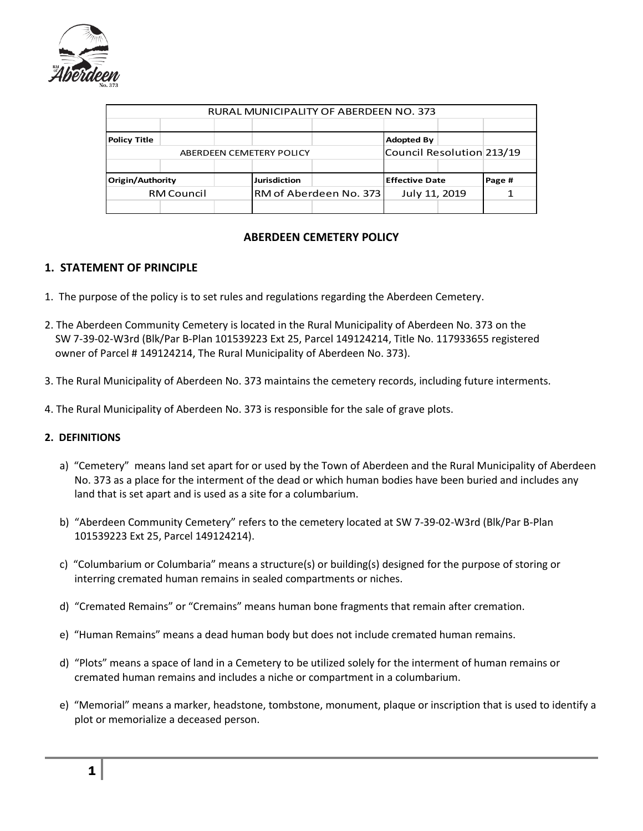

| RURAL MUNICIPALITY OF ABERDEEN NO. 373 |  |                     |                        |                       |                           |        |  |
|----------------------------------------|--|---------------------|------------------------|-----------------------|---------------------------|--------|--|
|                                        |  |                     |                        |                       |                           |        |  |
| <b>Policy Title</b>                    |  |                     |                        |                       | <b>Adopted By</b>         |        |  |
| ABERDEEN CEMETERY POLICY               |  |                     |                        |                       | Council Resolution 213/19 |        |  |
|                                        |  |                     |                        |                       |                           |        |  |
| Origin/Authority                       |  | <b>Jurisdiction</b> |                        | <b>Effective Date</b> |                           | Page # |  |
| <b>RM Council</b>                      |  |                     | RM of Aberdeen No. 373 |                       | July 11, 2019             |        |  |
|                                        |  |                     |                        |                       |                           |        |  |

## **ABERDEEN CEMETERY POLICY**

# **1. STATEMENT OF PRINCIPLE**

- 1. The purpose of the policy is to set rules and regulations regarding the Aberdeen Cemetery.
- 2. The Aberdeen Community Cemetery is located in the Rural Municipality of Aberdeen No. 373 on the SW 7-39-02-W3rd (Blk/Par B-Plan 101539223 Ext 25, Parcel 149124214, Title No. 117933655 registered owner of Parcel # 149124214, The Rural Municipality of Aberdeen No. 373).
- 3. The Rural Municipality of Aberdeen No. 373 maintains the cemetery records, including future interments.
- 4. The Rural Municipality of Aberdeen No. 373 is responsible for the sale of grave plots.

## **2. DEFINITIONS**

- a) "Cemetery" means land set apart for or used by the Town of Aberdeen and the Rural Municipality of Aberdeen No. 373 as a place for the interment of the dead or which human bodies have been buried and includes any land that is set apart and is used as a site for a columbarium.
- b) "Aberdeen Community Cemetery" refers to the cemetery located at SW 7-39-02-W3rd (Blk/Par B-Plan 101539223 Ext 25, Parcel 149124214).
- c) "Columbarium or Columbaria" means a structure(s) or building(s) designed for the purpose of storing or interring cremated human remains in sealed compartments or niches.
- d) "Cremated Remains" or "Cremains" means human bone fragments that remain after cremation.
- e) "Human Remains" means a dead human body but does not include cremated human remains.
- d) "Plots" means a space of land in a Cemetery to be utilized solely for the interment of human remains or cremated human remains and includes a niche or compartment in a columbarium.
- e) "Memorial" means a marker, headstone, tombstone, monument, plaque or inscription that is used to identify a plot or memorialize a deceased person.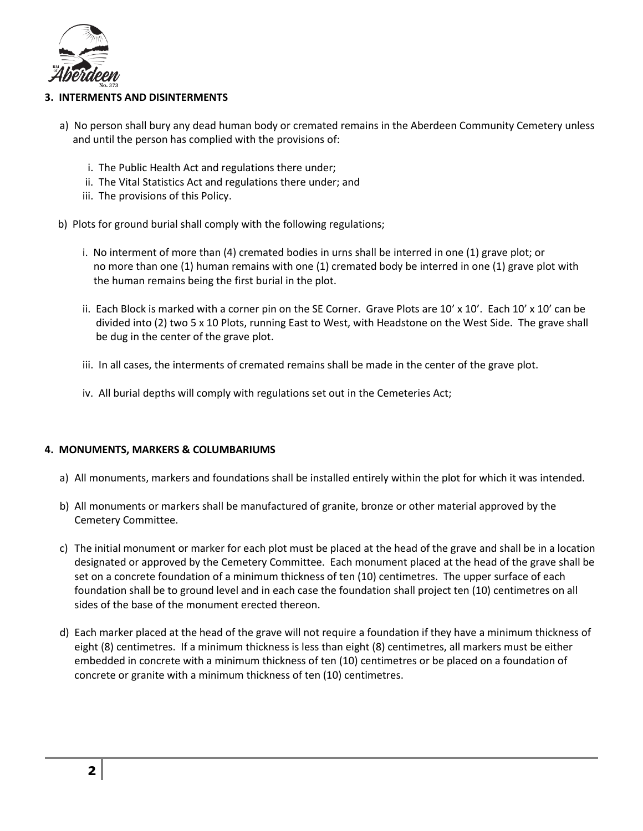

### **3. INTERMENTS AND DISINTERMENTS**

- a) No person shall bury any dead human body or cremated remains in the Aberdeen Community Cemetery unless and until the person has complied with the provisions of:
	- i. The Public Health Act and regulations there under;
	- ii. The Vital Statistics Act and regulations there under; and
	- iii. The provisions of this Policy.
- b) Plots for ground burial shall comply with the following regulations;
	- i. No interment of more than (4) cremated bodies in urns shall be interred in one (1) grave plot; or no more than one (1) human remains with one (1) cremated body be interred in one (1) grave plot with the human remains being the first burial in the plot.
	- ii. Each Block is marked with a corner pin on the SE Corner. Grave Plots are  $10' \times 10'$ . Each  $10' \times 10'$  can be divided into (2) two 5 x 10 Plots, running East to West, with Headstone on the West Side. The grave shall be dug in the center of the grave plot.
	- iii. In all cases, the interments of cremated remains shall be made in the center of the grave plot.
	- iv. All burial depths will comply with regulations set out in the Cemeteries Act;

#### **4. MONUMENTS, MARKERS & COLUMBARIUMS**

- a) All monuments, markers and foundations shall be installed entirely within the plot for which it was intended.
- b) All monuments or markers shall be manufactured of granite, bronze or other material approved by the Cemetery Committee.
- c) The initial monument or marker for each plot must be placed at the head of the grave and shall be in a location designated or approved by the Cemetery Committee. Each monument placed at the head of the grave shall be set on a concrete foundation of a minimum thickness of ten (10) centimetres. The upper surface of each foundation shall be to ground level and in each case the foundation shall project ten (10) centimetres on all sides of the base of the monument erected thereon.
- d) Each marker placed at the head of the grave will not require a foundation if they have a minimum thickness of eight (8) centimetres. If a minimum thickness is less than eight (8) centimetres, all markers must be either embedded in concrete with a minimum thickness of ten (10) centimetres or be placed on a foundation of concrete or granite with a minimum thickness of ten (10) centimetres.